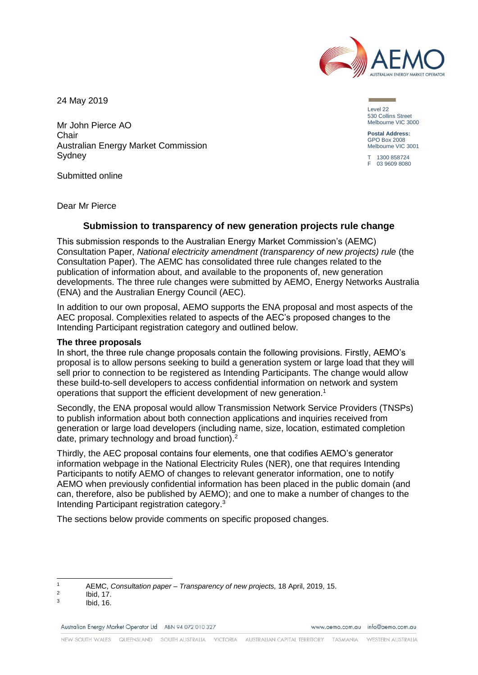

24 May 2019

Mr John Pierce AO Chair Australian Energy Market Commission Sydney

Submitted online

Level 22 530 Collins Street Melbourne VIC 3000

**Postal Address:** GPO Box 2008 Melbourne VIC 3001

T 1300 858724 F 03 9609 8080

Dear Mr Pierce

## **Submission to transparency of new generation projects rule change**

This submission responds to the Australian Energy Market Commission's (AEMC) Consultation Paper, *National electricity amendment (transparency of new projects) rule* (the Consultation Paper). The AEMC has consolidated three rule changes related to the publication of information about, and available to the proponents of, new generation developments. The three rule changes were submitted by AEMO, Energy Networks Australia (ENA) and the Australian Energy Council (AEC).

In addition to our own proposal, AEMO supports the ENA proposal and most aspects of the AEC proposal. Complexities related to aspects of the AEC's proposed changes to the Intending Participant registration category and outlined below.

#### **The three proposals**

In short, the three rule change proposals contain the following provisions. Firstly, AEMO's proposal is to allow persons seeking to build a generation system or large load that they will sell prior to connection to be registered as Intending Participants. The change would allow these build-to-sell developers to access confidential information on network and system operations that support the efficient development of new generation.<sup>1</sup>

Secondly, the ENA proposal would allow Transmission Network Service Providers (TNSPs) to publish information about both connection applications and inquiries received from generation or large load developers (including name, size, location, estimated completion date, primary technology and broad function).<sup>2</sup>

Thirdly, the AEC proposal contains four elements, one that codifies AEMO's generator information webpage in the National Electricity Rules (NER), one that requires Intending Participants to notify AEMO of changes to relevant generator information, one to notify AEMO when previously confidential information has been placed in the public domain (and can, therefore, also be published by AEMO); and one to make a number of changes to the Intending Participant registration category. 3

The sections below provide comments on specific proposed changes.

Australian Energy Market Operator Ltd ABN 94 072 010 327

www.gemo.com.gu info@gemo.com.gu

 $\overline{1}$ <sup>1</sup> AEMC, *Consultation paper – Transparency of new projects,* 18 April, 2019, 15.

 $\overline{2}$ Ibid, 17.

<sup>3</sup> Ibid, 16.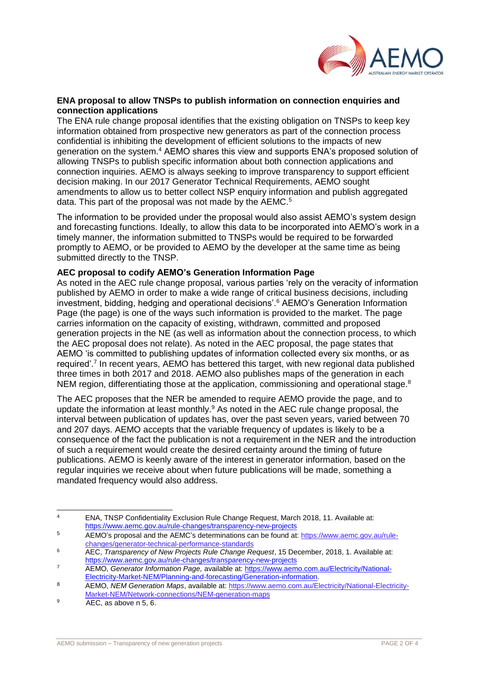

### **ENA proposal to allow TNSPs to publish information on connection enquiries and connection applications**

The ENA rule change proposal identifies that the existing obligation on TNSPs to keep key information obtained from prospective new generators as part of the connection process confidential is inhibiting the development of efficient solutions to the impacts of new generation on the system.<sup>4</sup> AEMO shares this view and supports ENA's proposed solution of allowing TNSPs to publish specific information about both connection applications and connection inquiries. AEMO is always seeking to improve transparency to support efficient decision making. In our 2017 Generator Technical Requirements, AEMO sought amendments to allow us to better collect NSP enquiry information and publish aggregated data. This part of the proposal was not made by the AEMC.<sup>5</sup>

The information to be provided under the proposal would also assist AEMO's system design and forecasting functions. Ideally, to allow this data to be incorporated into AEMO's work in a timely manner, the information submitted to TNSPs would be required to be forwarded promptly to AEMO, or be provided to AEMO by the developer at the same time as being submitted directly to the TNSP.

## **AEC proposal to codify AEMO's Generation Information Page**

As noted in the AEC rule change proposal, various parties 'rely on the veracity of information published by AEMO in order to make a wide range of critical business decisions, including investment, bidding, hedging and operational decisions'.<sup>6</sup> AEMO's Generation Information Page (the page) is one of the ways such information is provided to the market. The page carries information on the capacity of existing, withdrawn, committed and proposed generation projects in the NE (as well as information about the connection process, to which the AEC proposal does not relate). As noted in the AEC proposal, the page states that AEMO 'is committed to publishing updates of information collected every six months, or as required'.<sup>7</sup> In recent years, AEMO has bettered this target, with new regional data published three times in both 2017 and 2018. AEMO also publishes maps of the generation in each NEM region, differentiating those at the application, commissioning and operational stage.<sup>8</sup>

The AEC proposes that the NER be amended to require AEMO provide the page, and to update the information at least monthly.<sup>9</sup> As noted in the AEC rule change proposal, the interval between publication of updates has, over the past seven years, varied between 70 and 207 days. AEMO accepts that the variable frequency of updates is likely to be a consequence of the fact the publication is not a requirement in the NER and the introduction of such a requirement would create the desired certainty around the timing of future publications. AEMO is keenly aware of the interest in generator information, based on the regular inquiries we receive about when future publications will be made, something a mandated frequency would also address.

 $\overline{A}$ <sup>4</sup> ENA, TNSP Confidentiality Exclusion Rule Change Request, March 2018, 11. Available at: <https://www.aemc.gov.au/rule-changes/transparency-new-projects>

<sup>5</sup> AEMO's proposal and the AEMC's determinations can be found at: [https://www.aemc.gov.au/rule](https://www.aemc.gov.au/rule-changes/generator-technical-performance-standards)[changes/generator-technical-performance-standards](https://www.aemc.gov.au/rule-changes/generator-technical-performance-standards)

<sup>6</sup> AEC, *Transparency of New Projects Rule Change Request*, 15 December, 2018, 1. Available at: <https://www.aemc.gov.au/rule-changes/transparency-new-projects>

<sup>7</sup> AEMO, *Generator Information Page,* available at: [https://www.aemo.com.au/Electricity/National-](https://www.aemo.com.au/Electricity/National-Electricity-Market-NEM/Planning-and-forecasting/Generation-information)[Electricity-Market-NEM/Planning-and-forecasting/Generation-information.](https://www.aemo.com.au/Electricity/National-Electricity-Market-NEM/Planning-and-forecasting/Generation-information)

<sup>8</sup> AEMO, *NEM Generation Maps*, available at: [https://www.aemo.com.au/Electricity/National-Electricity-](https://www.aemo.com.au/Electricity/National-Electricity-Market-NEM/Network-connections/NEM-generation-maps)[Market-NEM/Network-connections/NEM-generation-maps](https://www.aemo.com.au/Electricity/National-Electricity-Market-NEM/Network-connections/NEM-generation-maps)

 $\overline{^9}$  AEC, as above n 5, 6.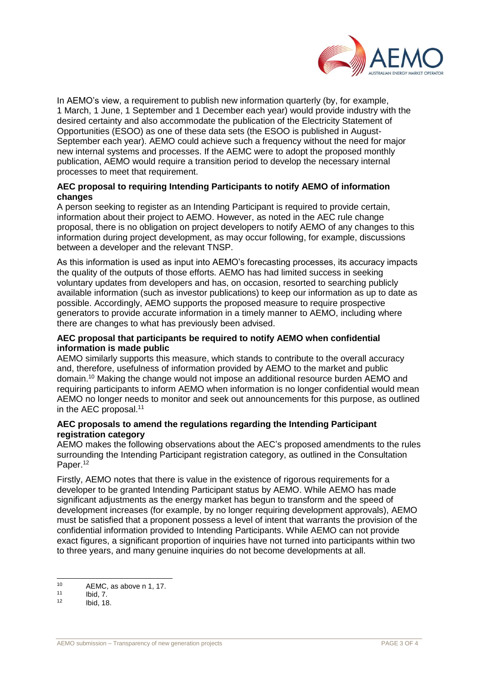

In AEMO's view, a requirement to publish new information quarterly (by, for example, 1 March, 1 June, 1 September and 1 December each year) would provide industry with the desired certainty and also accommodate the publication of the Electricity Statement of Opportunities (ESOO) as one of these data sets (the ESOO is published in August-September each year). AEMO could achieve such a frequency without the need for major new internal systems and processes. If the AEMC were to adopt the proposed monthly publication, AEMO would require a transition period to develop the necessary internal processes to meet that requirement.

# **AEC proposal to requiring Intending Participants to notify AEMO of information changes**

A person seeking to register as an Intending Participant is required to provide certain, information about their project to AEMO. However, as noted in the AEC rule change proposal, there is no obligation on project developers to notify AEMO of any changes to this information during project development, as may occur following, for example, discussions between a developer and the relevant TNSP.

As this information is used as input into AEMO's forecasting processes, its accuracy impacts the quality of the outputs of those efforts. AEMO has had limited success in seeking voluntary updates from developers and has, on occasion, resorted to searching publicly available information (such as investor publications) to keep our information as up to date as possible. Accordingly, AEMO supports the proposed measure to require prospective generators to provide accurate information in a timely manner to AEMO, including where there are changes to what has previously been advised.

# **AEC proposal that participants be required to notify AEMO when confidential information is made public**

AEMO similarly supports this measure, which stands to contribute to the overall accuracy and, therefore, usefulness of information provided by AEMO to the market and public domain.<sup>10</sup> Making the change would not impose an additional resource burden AEMO and requiring participants to inform AEMO when information is no longer confidential would mean AEMO no longer needs to monitor and seek out announcements for this purpose, as outlined in the AEC proposal.<sup>11</sup>

# **AEC proposals to amend the regulations regarding the Intending Participant registration category**

AEMO makes the following observations about the AEC's proposed amendments to the rules surrounding the Intending Participant registration category, as outlined in the Consultation Paper.<sup>12</sup>

Firstly, AEMO notes that there is value in the existence of rigorous requirements for a developer to be granted Intending Participant status by AEMO. While AEMO has made significant adjustments as the energy market has begun to transform and the speed of development increases (for example, by no longer requiring development approvals), AEMO must be satisfied that a proponent possess a level of intent that warrants the provision of the confidential information provided to Intending Participants. While AEMO can not provide exact figures, a significant proportion of inquiries have not turned into participants within two to three years, and many genuine inquiries do not become developments at all.

 $10<sub>1</sub>$  $10$  AEMC, as above n 1, 17.

 $11$  Ibid,  $7.$ <br> $12$  Ibid,  $19$ 

Ibid, 18.